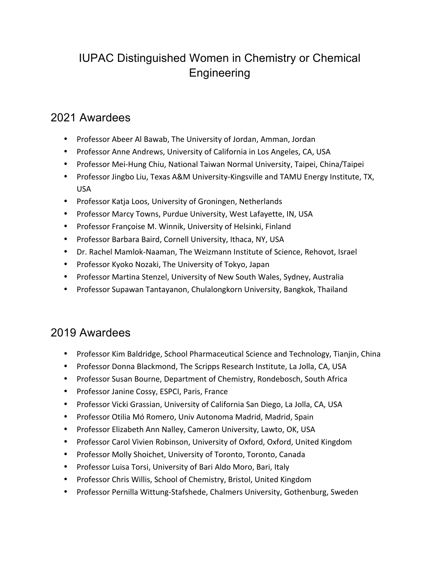# IUPAC Distinguished Women in Chemistry or Chemical Engineering

## 2021 Awardees

- Professor Abeer Al Bawab, The University of Jordan, Amman, Jordan
- Professor Anne Andrews, University of California in Los Angeles, CA, USA
- Professor Mei-Hung Chiu, National Taiwan Normal University, Taipei, China/Taipei
- Professor Jingbo Liu, Texas A&M University-Kingsville and TAMU Energy Institute, TX, USA
- Professor Katja Loos, University of Groningen, Netherlands
- Professor Marcy Towns, Purdue University, West Lafayette, IN, USA
- Professor Françoise M. Winnik, University of Helsinki, Finland
- Professor Barbara Baird, Cornell University, Ithaca, NY, USA
- Dr. Rachel Mamlok-Naaman, The Weizmann Institute of Science, Rehovot, Israel
- Professor Kyoko Nozaki, The University of Tokyo, Japan
- Professor Martina Stenzel, University of New South Wales, Sydney, Australia
- Professor Supawan Tantayanon, Chulalongkorn University, Bangkok, Thailand

#### 2019 Awardees

- Professor Kim Baldridge, School Pharmaceutical Science and Technology, Tianjin, China
- Professor Donna Blackmond, The Scripps Research Institute, La Jolla, CA, USA
- Professor Susan Bourne, Department of Chemistry, Rondebosch, South Africa
- Professor Janine Cossy, ESPCI, Paris, France
- Professor Vicki Grassian, University of California San Diego, La Jolla, CA, USA
- Professor Otilia Mó Romero, Univ Autonoma Madrid, Madrid, Spain
- Professor Elizabeth Ann Nalley, Cameron University, Lawto, OK, USA
- Professor Carol Vivien Robinson, University of Oxford, Oxford, United Kingdom
- Professor Molly Shoichet, University of Toronto, Toronto, Canada
- Professor Luisa Torsi, University of Bari Aldo Moro, Bari, Italy
- Professor Chris Willis, School of Chemistry, Bristol, United Kingdom
- Professor Pernilla Wittung-Stafshede, Chalmers University, Gothenburg, Sweden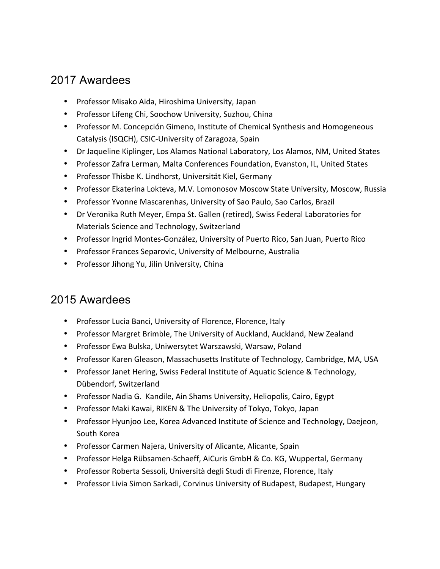#### 2017 Awardees

- Professor Misako Aida, Hiroshima University, Japan
- Professor Lifeng Chi, Soochow University, Suzhou, China
- Professor M. Concepción Gimeno, Institute of Chemical Synthesis and Homogeneous Catalysis (ISQCH), CSIC-University of Zaragoza, Spain
- Dr Jaqueline Kiplinger, Los Alamos National Laboratory, Los Alamos, NM, United States
- Professor Zafra Lerman, Malta Conferences Foundation, Evanston, IL, United States
- Professor Thisbe K. Lindhorst, Universität Kiel, Germany
- Professor Ekaterina Lokteva, M.V. Lomonosov Moscow State University, Moscow, Russia
- Professor Yvonne Mascarenhas, University of Sao Paulo, Sao Carlos, Brazil
- Dr Veronika Ruth Meyer, Empa St. Gallen (retired), Swiss Federal Laboratories for Materials Science and Technology, Switzerland
- Professor Ingrid Montes-González, University of Puerto Rico, San Juan, Puerto Rico
- Professor Frances Separovic, University of Melbourne, Australia
- Professor Jihong Yu, Jilin University, China

### 2015 Awardees

- Professor Lucia Banci, University of Florence, Florence, Italy
- Professor Margret Brimble, The University of Auckland, Auckland, New Zealand
- Professor Ewa Bulska, Uniwersytet Warszawski, Warsaw, Poland
- Professor Karen Gleason, Massachusetts Institute of Technology, Cambridge, MA, USA
- Professor Janet Hering, Swiss Federal Institute of Aquatic Science & Technology, Dübendorf, Switzerland
- Professor Nadia G. Kandile, Ain Shams University, Heliopolis, Cairo, Egypt
- Professor Maki Kawai, RIKEN & The University of Tokyo, Tokyo, Japan
- Professor Hyunjoo Lee, Korea Advanced Institute of Science and Technology, Daejeon, South Korea
- Professor Carmen Najera, University of Alicante, Alicante, Spain
- Professor Helga Rübsamen-Schaeff, AiCuris GmbH & Co. KG, Wuppertal, Germany
- Professor Roberta Sessoli, Università degli Studi di Firenze, Florence, Italy
- Professor Livia Simon Sarkadi, Corvinus University of Budapest, Budapest, Hungary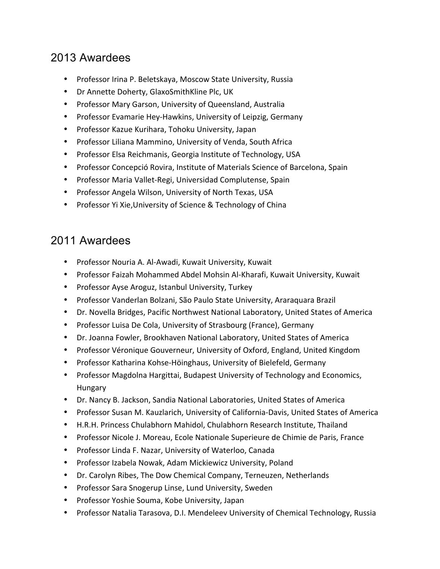#### 2013 Awardees

- Professor Irina P. Beletskaya, Moscow State University, Russia
- Dr Annette Doherty, GlaxoSmithKline Plc, UK
- Professor Mary Garson, University of Queensland, Australia
- Professor Evamarie Hey-Hawkins, University of Leipzig, Germany
- Professor Kazue Kurihara, Tohoku University, Japan
- Professor Liliana Mammino, University of Venda, South Africa
- Professor Elsa Reichmanis, Georgia Institute of Technology, USA
- Professor Concepció Rovira, Institute of Materials Science of Barcelona, Spain
- Professor Maria Vallet-Regi, Universidad Complutense, Spain
- Professor Angela Wilson, University of North Texas, USA
- Professor Yi Xie, University of Science & Technology of China

## 2011 Awardees

- Professor Nouria A. Al-Awadi, Kuwait University, Kuwait
- Professor Faizah Mohammed Abdel Mohsin Al-Kharafi, Kuwait University, Kuwait
- Professor Ayse Aroguz, Istanbul University, Turkey
- Professor Vanderlan Bolzani, São Paulo State University, Araraquara Brazil
- Dr. Novella Bridges, Pacific Northwest National Laboratory, United States of America
- Professor Luisa De Cola, University of Strasbourg (France), Germany
- Dr. Joanna Fowler, Brookhaven National Laboratory, United States of America
- Professor Véronique Gouverneur, University of Oxford, England, United Kingdom
- Professor Katharina Kohse-Höinghaus, University of Bielefeld, Germany
- Professor Magdolna Hargittai, Budapest University of Technology and Economics, Hungary
- Dr. Nancy B. Jackson, Sandia National Laboratories, United States of America
- Professor Susan M. Kauzlarich, University of California-Davis, United States of America
- H.R.H. Princess Chulabhorn Mahidol, Chulabhorn Research Institute, Thailand
- Professor Nicole J. Moreau, Ecole Nationale Superieure de Chimie de Paris, France
- Professor Linda F. Nazar, University of Waterloo, Canada
- Professor Izabela Nowak, Adam Mickiewicz University, Poland
- Dr. Carolyn Ribes, The Dow Chemical Company, Terneuzen, Netherlands
- Professor Sara Snogerup Linse, Lund University, Sweden
- Professor Yoshie Souma, Kobe University, Japan
- Professor Natalia Tarasova, D.I. Mendeleev University of Chemical Technology, Russia